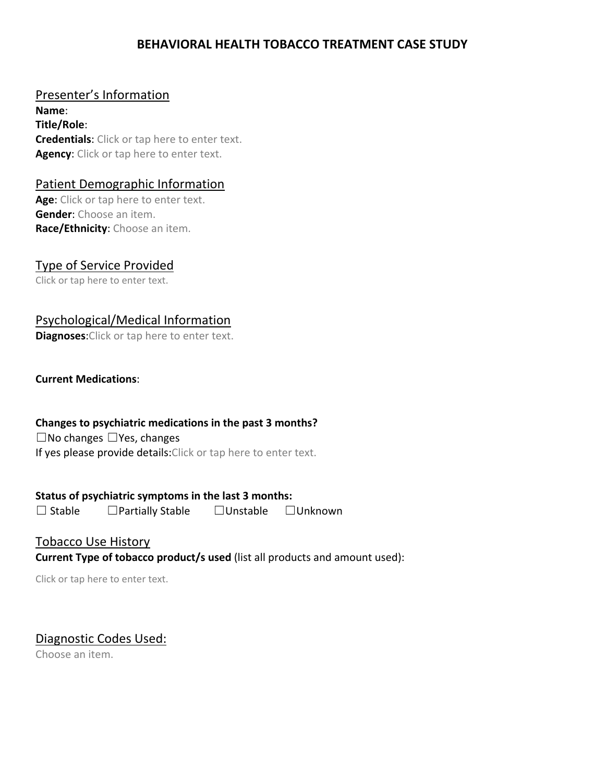# **BEHAVIORAL HEALTH TOBACCO TREATMENT CASE STUDY**

## Presenter's Information

**Name**: **Title/Role**: **Credentials**: Click or tap here to enter text. **Agency**: Click or tap here to enter text.

### Patient Demographic Information

**Age**: Click or tap here to enter text. **Gender**: Choose an item. **Race/Ethnicity**: Choose an item.

# Type of Service Provided

Click or tap here to enter text.

# Psychological/Medical Information

**Diagnoses**:Click or tap here to enter text.

#### **Current Medications**:

#### **Changes to psychiatric medications in the past 3 months?**

☐No changes ☐Yes, changes If yes please provide details: Click or tap here to enter text.

## **Status of psychiatric symptoms in the last 3 months:**

☐ Stable ☐Partially Stable ☐Unstable ☐Unknown

### Tobacco Use History **Current Type of tobacco product/s used** (list all products and amount used):

Click or tap here to enter text.

## Diagnostic Codes Used:

Choose an item.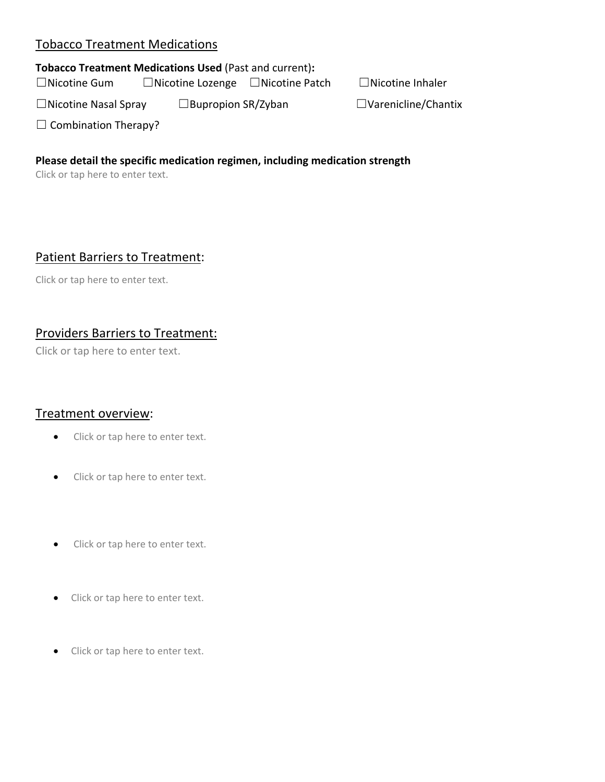## Tobacco Treatment Medications

#### **Tobacco Treatment Medications Used** (Past and current)**:**

☐Nicotine Gum ☐Nicotine Lozenge ☐Nicotine Patch ☐Nicotine Inhaler

☐Nicotine Nasal Spray ☐Bupropion SR/Zyban ☐Varenicline/Chantix

 $\Box$  Combination Therapy?

#### **Please detail the specific medication regimen, including medication strength**

Click or tap here to enter text.

# Patient Barriers to Treatment:

Click or tap here to enter text.

# Providers Barriers to Treatment:

Click or tap here to enter text.

#### Treatment overview:

- Click or tap here to enter text.
- Click or tap here to enter text.
- Click or tap here to enter text.
- Click or tap here to enter text.
- Click or tap here to enter text.